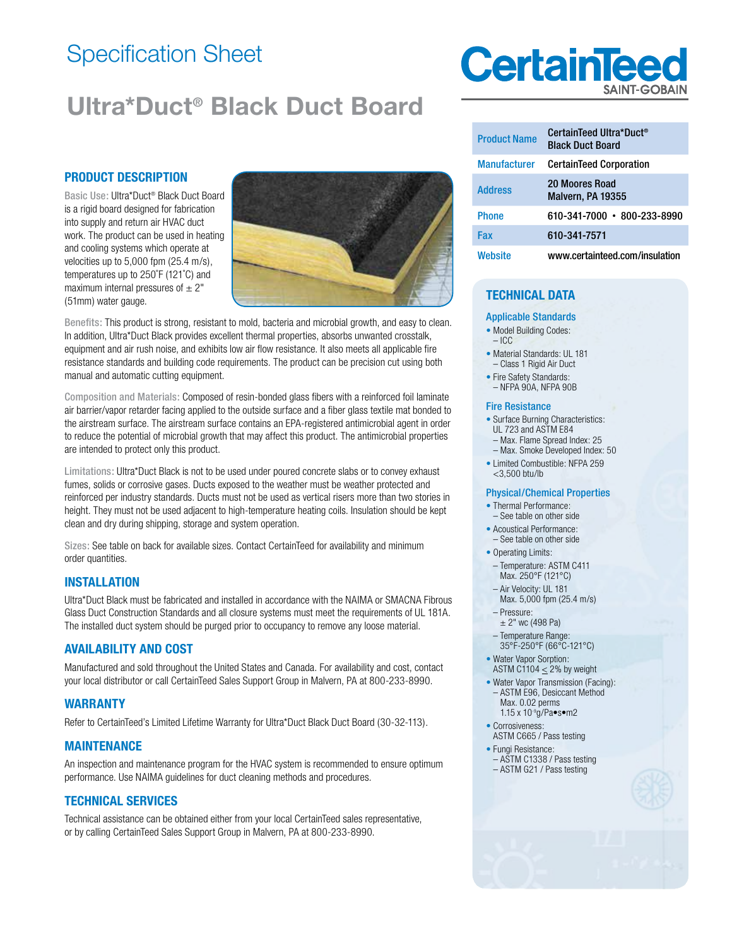# Specification Sheet

# **Ultra\*Duct® Black Duct Board**

## **PRODUCT DESCRIPTION**

Basic Use: Ultra\*Duct® Black Duct Board is a rigid board designed for fabrication into supply and return air HVAC duct work. The product can be used in heating and cooling systems which operate at velocities up to 5,000 fpm (25.4 m/s), temperatures up to 250˚F (121˚C) and maximum internal pressures of  $\pm 2$ " (51mm) water gauge.



Benefits: This product is strong, resistant to mold, bacteria and microbial growth, and easy to clean. In addition, Ultra\*Duct Black provides excellent thermal properties, absorbs unwanted crosstalk, equipment and air rush noise, and exhibits low air flow resistance. It also meets all applicable fire resistance standards and building code requirements. The product can be precision cut using both manual and automatic cutting equipment.

Composition and Materials: Composed of resin-bonded glass fibers with a reinforced foil laminate air barrier/vapor retarder facing applied to the outside surface and a fiber glass textile mat bonded to the airstream surface. The airstream surface contains an EPA-registered antimicrobial agent in order to reduce the potential of microbial growth that may affect this product. The antimicrobial properties are intended to protect only this product.

Limitations: Ultra\*Duct Black is not to be used under poured concrete slabs or to convey exhaust fumes, solids or corrosive gases. Ducts exposed to the weather must be weather protected and reinforced per industry standards. Ducts must not be used as vertical risers more than two stories in height. They must not be used adjacent to high-temperature heating coils. Insulation should be kept clean and dry during shipping, storage and system operation.

Sizes: See table on back for available sizes. Contact CertainTeed for availability and minimum order quantities.

#### **INSTALLATION**

Ultra\*Duct Black must be fabricated and installed in accordance with the NAIMA or SMACNA Fibrous Glass Duct Construction Standards and all closure systems must meet the requirements of UL 181A. The installed duct system should be purged prior to occupancy to remove any loose material.

## **AVAILABILITY AND COST**

Manufactured and sold throughout the United States and Canada. For availability and cost, contact your local distributor or call CertainTeed Sales Support Group in Malvern, PA at 800-233-8990.

#### **WARRANTY**

Refer to CertainTeed's Limited Lifetime Warranty for Ultra\*Duct Black Duct Board (30-32-113).

#### **MAINTENANCE**

An inspection and maintenance program for the HVAC system is recommended to ensure optimum performance. Use NAIMA guidelines for duct cleaning methods and procedures.

#### **TECHNICAL SERVICES**

Technical assistance can be obtained either from your local CertainTeed sales representative, or by calling CertainTeed Sales Support Group in Malvern, PA at 800-233-8990.

# **CertainTee**

| <b>Product Name</b> | CertainTeed Ultra*Duct <sup>®</sup><br><b>Black Duct Board</b> |
|---------------------|----------------------------------------------------------------|
| <b>Manufacturer</b> | <b>CertainTeed Corporation</b>                                 |
| <b>Address</b>      | <b>20 Moores Road</b><br>Malvern, PA 19355                     |
| <b>Phone</b>        | 610-341-7000 - 800-233-8990                                    |
| Fax                 | 610-341-7571                                                   |
| Website             | www.certainteed.com/insulation                                 |

# **TECHNICAL DATA**

#### Applicable Standards

- Model Building Codes:
- $-$  ICC
- Material Standards: UL 181 – Class 1 Rigid Air Duct
- Fire Safety Standards:
- NFPA 90A, NFPA 90B

#### Fire Resistance

- Surface Burning Characteristics: UL 723 and ASTM E84
- Max. Flame Spread Index: 25
- Max. Smoke Developed Index: 50
- Limited Combustible: NFPA 259 <3,500 btu/lb

#### Physical/Chemical Properties

- Thermal Performance:
- See table on other side • Acoustical Performance:
- See table on other side
- Operating Limits: – Temperature: ASTM C411
- Max. 250°F (121°C) – Air Velocity: UL 181
- Max. 5,000 fpm (25.4 m/s) – Pressure:
- $± 2"$  wc (498 Pa)
- Temperature Range: 35°F-250°F (66°C-121°C)
- Water Vapor Sorption: ASTM C1104  $\leq$  2% by weight
- Water Vapor Transmission (Facing): – ASTM E96, Desiccant Method
	- Max. 0.02 perms 1.15 x 10-9g/Pa•s•m2
- Corrosiveness: ASTM C665 / Pass testing
- Fungi Resistance: – ASTM C1338 / Pass testing
- ASTM G21 / Pass testing